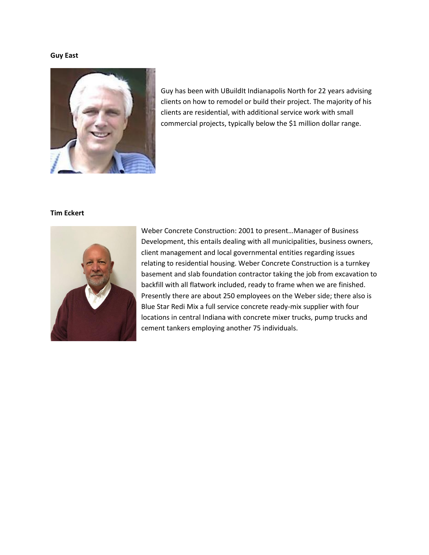# **Guy East**



Guy has been with UBuildIt Indianapolis North for 22 years advising clients on how to remodel or build their project. The majority of his clients are residential, with additional service work with small commercial projects, typically below the \$1 million dollar range.

# **Tim Eckert**



Weber Concrete Construction: 2001 to present…Manager of Business Development, this entails dealing with all municipalities, business owners, client management and local governmental entities regarding issues relating to residential housing. Weber Concrete Construction is a turnkey basement and slab foundation contractor taking the job from excavation to backfill with all flatwork included, ready to frame when we are finished. Presently there are about 250 employees on the Weber side; there also is Blue Star Redi Mix a full service concrete ready-mix supplier with four locations in central Indiana with concrete mixer trucks, pump trucks and cement tankers employing another 75 individuals.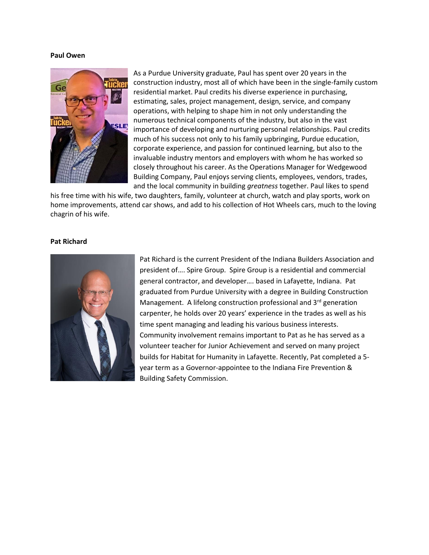## **Paul Owen**



As a Purdue University graduate, Paul has spent over 20 years in the construction industry, most all of which have been in the single-family custom residential market. Paul credits his diverse experience in purchasing, estimating, sales, project management, design, service, and company operations, with helping to shape him in not only understanding the numerous technical components of the industry, but also in the vast importance of developing and nurturing personal relationships. Paul credits much of his success not only to his family upbringing, Purdue education, corporate experience, and passion for continued learning, but also to the invaluable industry mentors and employers with whom he has worked so closely throughout his career. As the Operations Manager for Wedgewood Building Company, Paul enjoys serving clients, employees, vendors, trades, and the local community in building *greatness* together. Paul likes to spend

his free time with his wife, two daughters, family, volunteer at church, watch and play sports, work on home improvements, attend car shows, and add to his collection of Hot Wheels cars, much to the loving chagrin of his wife.

### **Pat Richard**



Pat Richard is the current President of the Indiana Builders Association and president of…. Spire Group. Spire Group is a residential and commercial general contractor, and developer…. based in Lafayette, Indiana. Pat graduated from Purdue University with a degree in Building Construction Management. A lifelong construction professional and 3<sup>rd</sup> generation carpenter, he holds over 20 years' experience in the trades as well as his time spent managing and leading his various business interests. Community involvement remains important to Pat as he has served as a volunteer teacher for Junior Achievement and served on many project builds for Habitat for Humanity in Lafayette. Recently, Pat completed a 5 year term as a Governor-appointee to the Indiana Fire Prevention & Building Safety Commission.